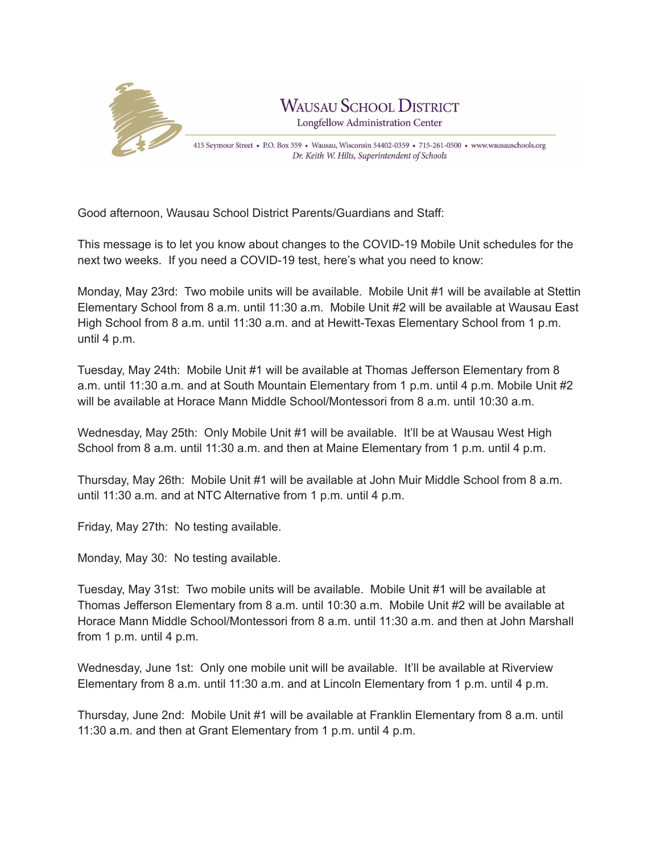

Good afternoon, Wausau School District Parents/Guardians and Staff:

This message is to let you know about changes to the COVID-19 Mobile Unit schedules for the next two weeks. If you need a COVID-19 test, here's what you need to know:

Monday, May 23rd: Two mobile units will be available. Mobile Unit #1 will be available at Stettin Elementary School from 8 a.m. until 11:30 a.m. Mobile Unit #2 will be available at Wausau East High School from 8 a.m. until 11:30 a.m. and at Hewitt-Texas Elementary School from 1 p.m. until 4 p.m.

Tuesday, May 24th: Mobile Unit #1 will be available at Thomas Jefferson Elementary from 8 a.m. until 11:30 a.m. and at South Mountain Elementary from 1 p.m. until 4 p.m. Mobile Unit #2 will be available at Horace Mann Middle School/Montessori from 8 a.m. until 10:30 a.m.

Wednesday, May 25th: Only Mobile Unit #1 will be available. It'll be at Wausau West High School from 8 a.m. until 11:30 a.m. and then at Maine Elementary from 1 p.m. until 4 p.m.

Thursday, May 26th: Mobile Unit #1 will be available at John Muir Middle School from 8 a.m. until 11:30 a.m. and at NTC Alternative from 1 p.m. until 4 p.m.

Friday, May 27th: No testing available.

Monday, May 30: No testing available.

Tuesday, May 31st: Two mobile units will be available. Mobile Unit #1 will be available at Thomas Jefferson Elementary from 8 a.m. until 10:30 a.m. Mobile Unit #2 will be available at Horace Mann Middle School/Montessori from 8 a.m. until 11:30 a.m. and then at John Marshall from 1 p.m. until 4 p.m.

Wednesday, June 1st: Only one mobile unit will be available. It'll be available at Riverview Elementary from 8 a.m. until 11:30 a.m. and at Lincoln Elementary from 1 p.m. until 4 p.m.

Thursday, June 2nd: Mobile Unit #1 will be available at Franklin Elementary from 8 a.m. until 11:30 a.m. and then at Grant Elementary from 1 p.m. until 4 p.m.